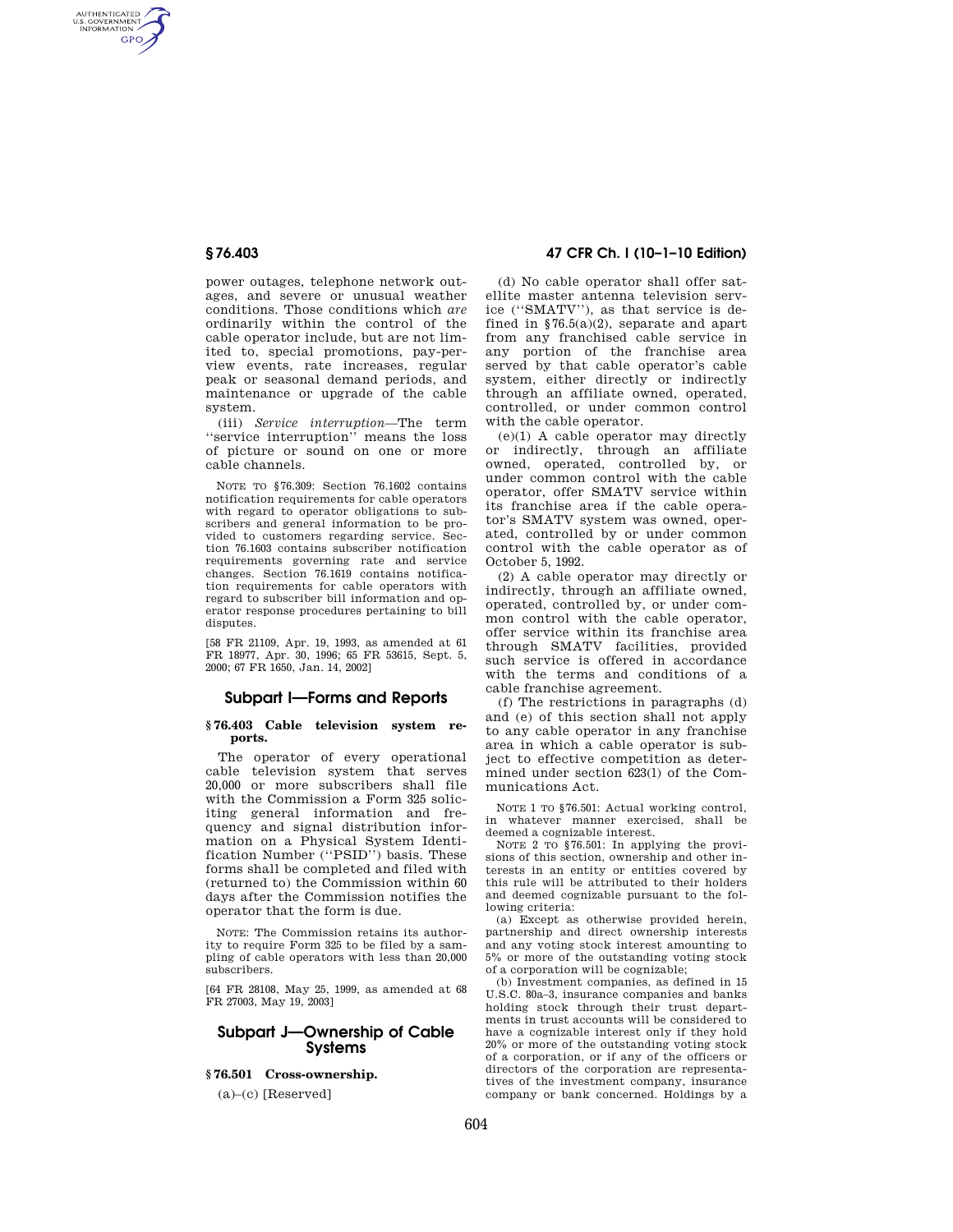AUTHENTICATED<br>U.S. GOVERNMENT<br>INFORMATION **GPO** 

> power outages, telephone network outages, and severe or unusual weather conditions. Those conditions which *are*  ordinarily within the control of the cable operator include, but are not limited to, special promotions, pay-perview events, rate increases, regular peak or seasonal demand periods, and maintenance or upgrade of the cable system.

> (iii) *Service interruption*—The term ''service interruption'' means the loss of picture or sound on one or more cable channels.

> NOTE TO §76.309: Section 76.1602 contains notification requirements for cable operators with regard to operator obligations to subscribers and general information to be provided to customers regarding service. Section 76.1603 contains subscriber notification requirements governing rate and service changes. Section 76.1619 contains notification requirements for cable operators with regard to subscriber bill information and operator response procedures pertaining to bill disputes.

[58 FR 21109, Apr. 19, 1993, as amended at 61 FR 18977, Apr. 30, 1996; 65 FR 53615, Sept. 5, 2000; 67 FR 1650, Jan. 14, 2002]

## **Subpart I—Forms and Reports**

## **§ 76.403 Cable television system reports.**

The operator of every operational cable television system that serves 20,000 or more subscribers shall file with the Commission a Form 325 soliciting general information and frequency and signal distribution information on a Physical System Identification Number (''PSID'') basis. These forms shall be completed and filed with (returned to) the Commission within 60 days after the Commission notifies the operator that the form is due.

NOTE: The Commission retains its authority to require Form 325 to be filed by a sampling of cable operators with less than 20,000 subscribers.

[64 FR 28108, May 25, 1999, as amended at 68 FR 27003, May 19, 2003]

## **Subpart J—Ownership of Cable Systems**

# **§ 76.501 Cross-ownership.**

 $(a)$ – $(c)$  [Reserved]

# **§ 76.403 47 CFR Ch. I (10–1–10 Edition)**

(d) No cable operator shall offer satellite master antenna television service (''SMATV''), as that service is defined in  $$76.5(a)(2)$ , separate and apart from any franchised cable service in any portion of the franchise area served by that cable operator's cable system, either directly or indirectly through an affiliate owned, operated, controlled, or under common control with the cable operator.

(e)(1) A cable operator may directly or indirectly, through an affiliate owned, operated, controlled by, or under common control with the cable operator, offer SMATV service within its franchise area if the cable operator's SMATV system was owned, operated, controlled by or under common control with the cable operator as of October 5, 1992.

(2) A cable operator may directly or indirectly, through an affiliate owned, operated, controlled by, or under common control with the cable operator, offer service within its franchise area through SMATV facilities, provided such service is offered in accordance with the terms and conditions of a cable franchise agreement.

(f) The restrictions in paragraphs (d) and (e) of this section shall not apply to any cable operator in any franchise area in which a cable operator is subject to effective competition as determined under section 623(l) of the Communications Act.

NOTE 1 TO §76.501: Actual working control, in whatever manner exercised, shall be deemed a cognizable interest.

NOTE 2 TO §76.501: In applying the provisions of this section, ownership and other interests in an entity or entities covered by this rule will be attributed to their holders and deemed cognizable pursuant to the following criteria:

(a) Except as otherwise provided herein, partnership and direct ownership interests and any voting stock interest amounting to 5% or more of the outstanding voting stock of a corporation will be cognizable;

(b) Investment companies, as defined in 15 U.S.C. 80a–3, insurance companies and banks holding stock through their trust departments in trust accounts will be considered to have a cognizable interest only if they hold 20% or more of the outstanding voting stock of a corporation, or if any of the officers or directors of the corporation are representatives of the investment company, insurance company or bank concerned. Holdings by a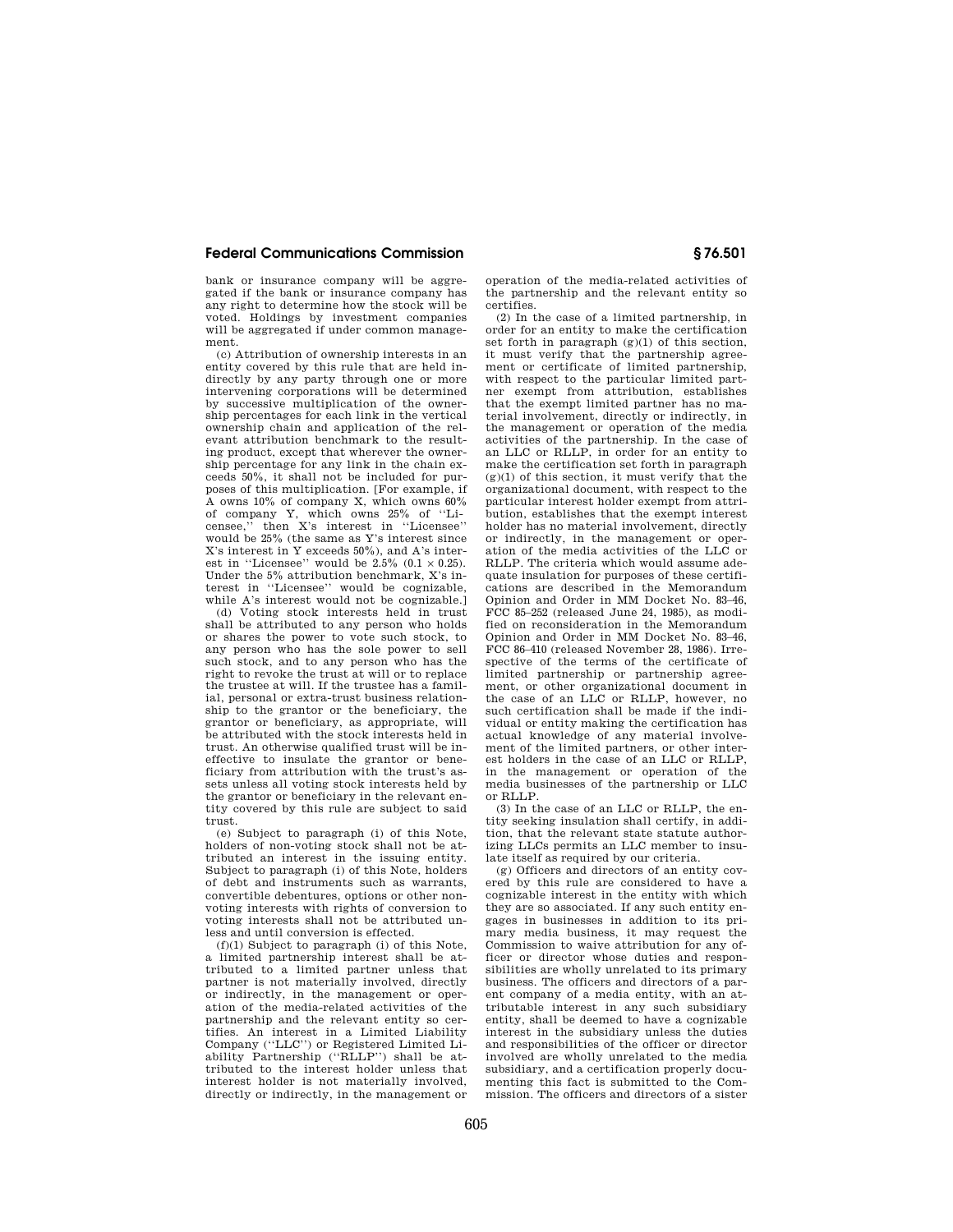## **Federal Communications Commission § 76.501**

bank or insurance company will be aggregated if the bank or insurance company has any right to determine how the stock will be voted. Holdings by investment companies will be aggregated if under common management.

(c) Attribution of ownership interests in an entity covered by this rule that are held indirectly by any party through one or more intervening corporations will be determined by successive multiplication of the ownership percentages for each link in the vertical ownership chain and application of the relevant attribution benchmark to the resulting product, except that wherever the ownership percentage for any link in the chain exceeds 50%, it shall not be included for purposes of this multiplication. [For example, if A owns 10% of company X, which owns 60% of company Y, which owns 25% of ''Licensee,'' then X's interest in ''Licensee'' would be 25% (the same as Y's interest since X's interest in Y exceeds 50%), and A's interest in "Licensee" would be  $2.5\%$  (0.1  $\times$  0.25). Under the 5% attribution benchmark, X's interest in ''Licensee'' would be cognizable, while A's interest would not be cognizable.]

(d) Voting stock interests held in trust shall be attributed to any person who holds or shares the power to vote such stock, to any person who has the sole power to sell such stock, and to any person who has the right to revoke the trust at will or to replace the trustee at will. If the trustee has a familial, personal or extra-trust business relationship to the grantor or the beneficiary, the grantor or beneficiary, as appropriate, will be attributed with the stock interests held in trust. An otherwise qualified trust will be ineffective to insulate the grantor or beneficiary from attribution with the trust's assets unless all voting stock interests held by the grantor or beneficiary in the relevant entity covered by this rule are subject to said trust.

(e) Subject to paragraph (i) of this Note, holders of non-voting stock shall not be attributed an interest in the issuing entity. Subject to paragraph (i) of this Note, holders of debt and instruments such as warrants, convertible debentures, options or other nonvoting interests with rights of conversion to voting interests shall not be attributed unless and until conversion is effected.

(f)(1) Subject to paragraph (i) of this Note, a limited partnership interest shall be attributed to a limited partner unless that partner is not materially involved, directly or indirectly, in the management or operation of the media-related activities of the partnership and the relevant entity so certifies. An interest in a Limited Liability Company (''LLC'') or Registered Limited Liability Partnership (''RLLP'') shall be attributed to the interest holder unless that interest holder is not materially involved, directly or indirectly, in the management or operation of the media-related activities of the partnership and the relevant entity so certifies.

(2) In the case of a limited partnership, in order for an entity to make the certification set forth in paragraph (g)(1) of this section, it must verify that the partnership agreement or certificate of limited partnership, with respect to the particular limited partner exempt from attribution, establishes that the exempt limited partner has no material involvement, directly or indirectly, in the management or operation of the media activities of the partnership. In the case of an LLC or RLLP, in order for an entity to make the certification set forth in paragraph  $(g)(1)$  of this section, it must verify that the organizational document, with respect to the particular interest holder exempt from attribution, establishes that the exempt interest holder has no material involvement, directly or indirectly, in the management or operation of the media activities of the LLC or RLLP. The criteria which would assume adequate insulation for purposes of these certifications are described in the Memorandum Opinion and Order in MM Docket No. 83–46, FCC 85–252 (released June 24, 1985), as modified on reconsideration in the Memorandum Opinion and Order in MM Docket No. 83–46, FCC 86–410 (released November 28, 1986). Irrespective of the terms of the certificate of limited partnership or partnership agreement, or other organizational document in the case of an LLC or RLLP, however, no such certification shall be made if the individual or entity making the certification has actual knowledge of any material involvement of the limited partners, or other interest holders in the case of an LLC or RLLP, in the management or operation of the media businesses of the partnership or LLC or RLLP.

(3) In the case of an LLC or RLLP, the entity seeking insulation shall certify, in addition, that the relevant state statute authorizing LLCs permits an LLC member to insulate itself as required by our criteria.

(g) Officers and directors of an entity covered by this rule are considered to have a cognizable interest in the entity with which they are so associated. If any such entity engages in businesses in addition to its primary media business, it may request the Commission to waive attribution for any officer or director whose duties and responsibilities are wholly unrelated to its primary business. The officers and directors of a parent company of a media entity, with an attributable interest in any such subsidiary entity, shall be deemed to have a cognizable interest in the subsidiary unless the duties and responsibilities of the officer or director involved are wholly unrelated to the media subsidiary, and a certification properly documenting this fact is submitted to the Commission. The officers and directors of a sister